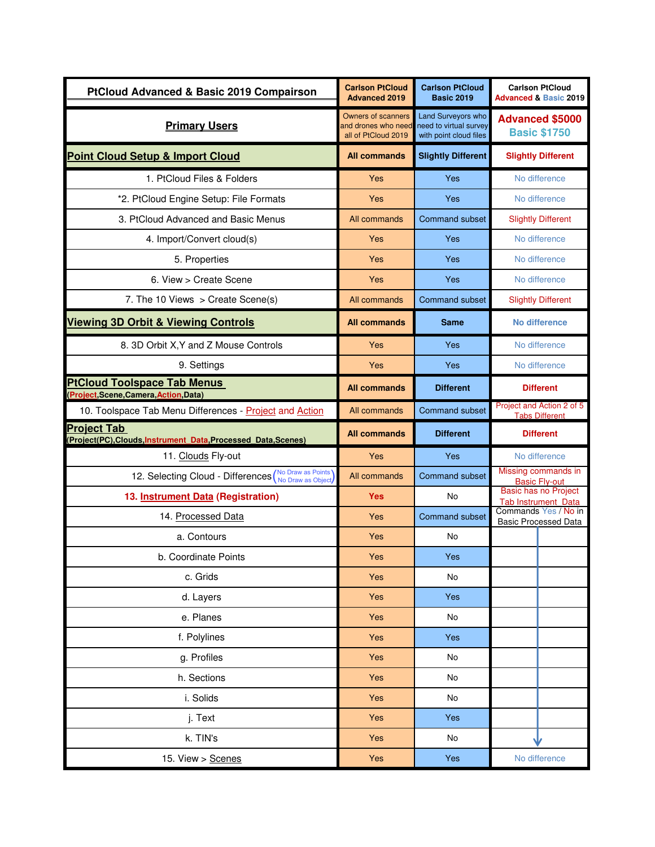| <b>PtCloud Advanced &amp; Basic 2019 Compairson</b>                                  | <b>Carlson PtCloud</b><br><b>Advanced 2019</b>                          | <b>Carlson PtCloud</b><br><b>Basic 2019</b>                            | <b>Carlson PtCloud</b><br><b>Advanced &amp; Basic 2019</b> |
|--------------------------------------------------------------------------------------|-------------------------------------------------------------------------|------------------------------------------------------------------------|------------------------------------------------------------|
| <b>Primary Users</b>                                                                 | <b>Owners of scanners</b><br>and drones who need<br>all of PtCloud 2019 | Land Surveyors who<br>need to virtual survey<br>with point cloud files | <b>Advanced \$5000</b><br><b>Basic \$1750</b>              |
| <b>Point Cloud Setup &amp; Import Cloud</b>                                          | <b>All commands</b>                                                     | <b>Slightly Different</b>                                              | <b>Slightly Different</b>                                  |
| 1. PtCloud Files & Folders                                                           | Yes                                                                     | <b>Yes</b>                                                             | No difference                                              |
| *2. PtCloud Engine Setup: File Formats                                               | Yes                                                                     | Yes                                                                    | No difference                                              |
| 3. PtCloud Advanced and Basic Menus                                                  | All commands                                                            | Command subset                                                         | <b>Slightly Different</b>                                  |
| 4. Import/Convert cloud(s)                                                           | Yes                                                                     | Yes                                                                    | No difference                                              |
| 5. Properties                                                                        | Yes                                                                     | Yes                                                                    | No difference                                              |
| 6. View > Create Scene                                                               | Yes                                                                     | Yes                                                                    | No difference                                              |
| 7. The 10 Views $>$ Create Scene(s)                                                  | All commands                                                            | <b>Command subset</b>                                                  | <b>Slightly Different</b>                                  |
| <b>Viewing 3D Orbit &amp; Viewing Controls</b>                                       | <b>All commands</b>                                                     | Same                                                                   | <b>No difference</b>                                       |
| 8. 3D Orbit X, Y and Z Mouse Controls                                                | Yes                                                                     | Yes                                                                    | No difference                                              |
| 9. Settings                                                                          | Yes                                                                     | Yes                                                                    | No difference                                              |
| <b>PtCloud Toolspace Tab Menus</b><br>(Project, Scene, Camera, Action, Data)         | <b>All commands</b>                                                     | <b>Different</b>                                                       | <b>Different</b>                                           |
| 10. Toolspace Tab Menu Differences - Project and Action                              | All commands                                                            | <b>Command subset</b>                                                  | Project and Action 2 of 5<br><b>Tabs Different</b>         |
| <b>Project Tab</b><br>(Project(PC), Clouds, Instrument Data, Processed Data, Scenes) | <b>All commands</b>                                                     | <b>Different</b>                                                       | <b>Different</b>                                           |
| 11. Clouds Fly-out                                                                   | <b>Yes</b>                                                              | Yes                                                                    | No difference                                              |
| 12. Selecting Cloud - Differences (No Draw as Points)                                | All commands                                                            | <b>Command subset</b>                                                  | Missing commands in<br><b>Basic Fly-out</b>                |
| 13. Instrument Data (Registration)                                                   | <b>Yes</b>                                                              | No                                                                     | Basic has no Project<br><b>Tab Instrument_Data</b>         |
| 14. Processed Data                                                                   | Yes                                                                     | <b>Command subset</b>                                                  | Commands Yes / No in<br><b>Basic Processed Data</b>        |
| a. Contours                                                                          | Yes                                                                     | No                                                                     |                                                            |
| b. Coordinate Points                                                                 | Yes                                                                     | Yes                                                                    |                                                            |
| c. Grids                                                                             | Yes                                                                     | No                                                                     |                                                            |
| d. Layers                                                                            | Yes                                                                     | Yes                                                                    |                                                            |
| e. Planes                                                                            | Yes                                                                     | No                                                                     |                                                            |
| f. Polylines                                                                         | Yes                                                                     | Yes                                                                    |                                                            |
| g. Profiles                                                                          | Yes                                                                     | No                                                                     |                                                            |
| h. Sections                                                                          | Yes                                                                     | No                                                                     |                                                            |
| i. Solids                                                                            | Yes                                                                     | No                                                                     |                                                            |
| j. Text                                                                              | Yes                                                                     | Yes                                                                    |                                                            |
| k. TIN's                                                                             | Yes                                                                     | No                                                                     |                                                            |
| 15. View > Scenes                                                                    | Yes                                                                     | Yes                                                                    | No difference                                              |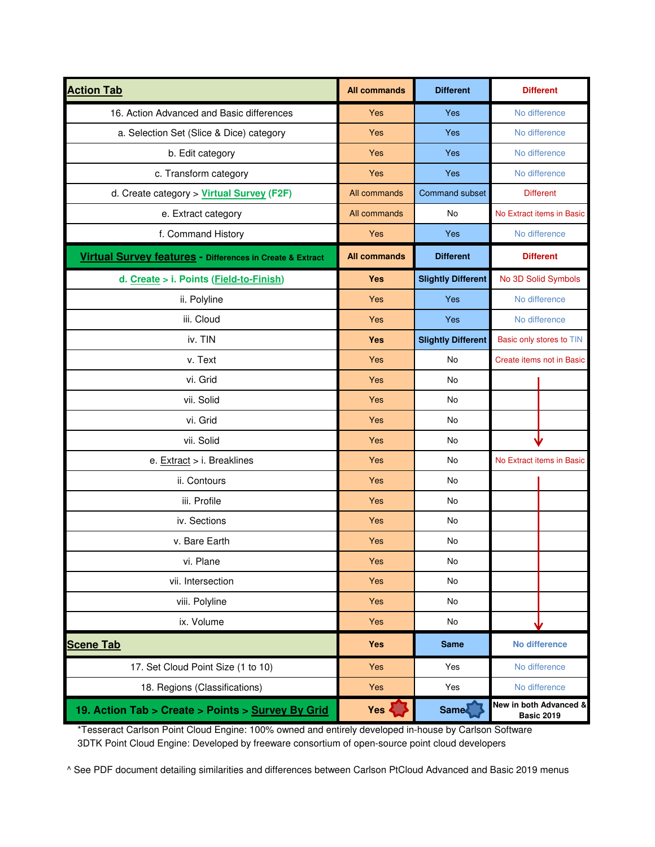| <b>Action Tab</b>                                         | <b>All commands</b> | <b>Different</b>          | <b>Different</b>                            |
|-----------------------------------------------------------|---------------------|---------------------------|---------------------------------------------|
| 16. Action Advanced and Basic differences                 | Yes                 | Yes                       | No difference                               |
| a. Selection Set (Slice & Dice) category                  | <b>Yes</b>          | <b>Yes</b>                | No difference                               |
| b. Edit category                                          | Yes                 | Yes                       | No difference                               |
| c. Transform category                                     | Yes                 | Yes                       | No difference                               |
| d. Create category > Virtual Survey (F2F)                 | All commands        | <b>Command subset</b>     | <b>Different</b>                            |
| e. Extract category                                       | All commands        | No                        | No Extract items in Basic                   |
| f. Command History                                        | Yes                 | Yes                       | No difference                               |
| Virtual Survey features - Differences in Create & Extract | <b>All commands</b> | <b>Different</b>          | <b>Different</b>                            |
| d. Create > i. Points (Field-to-Finish)                   | <b>Yes</b>          | <b>Slightly Different</b> | No 3D Solid Symbols                         |
| ii. Polyline                                              | Yes                 | <b>Yes</b>                | No difference                               |
| iii. Cloud                                                | Yes                 | Yes                       | No difference                               |
| iv. TIN                                                   | <b>Yes</b>          | <b>Slightly Different</b> | Basic only stores to TIN                    |
| v. Text                                                   | Yes                 | No                        | Create items not in Basic                   |
| vi. Grid                                                  | Yes                 | <b>No</b>                 |                                             |
| vii. Solid                                                | Yes                 | No                        |                                             |
| vi. Grid                                                  | <b>Yes</b>          | No                        |                                             |
| vii. Solid                                                | Yes                 | No                        |                                             |
| e. Extract > i. Breaklines                                | Yes                 | <b>No</b>                 | No Extract items in Basic                   |
| ii. Contours                                              | Yes                 | No                        |                                             |
| iii. Profile                                              | Yes                 | No                        |                                             |
| iv. Sections                                              | Yes                 | <b>No</b>                 |                                             |
| v. Bare Earth                                             | Yes                 | No                        |                                             |
| vi. Plane                                                 | Yes                 | No                        |                                             |
| vii. Intersection                                         | Yes                 | No                        |                                             |
| viii. Polyline                                            | Yes                 | No                        |                                             |
| ix. Volume                                                | Yes                 | No                        |                                             |
| <b>Scene Tab</b>                                          | <b>Yes</b>          | <b>Same</b>               | <b>No difference</b>                        |
| 17. Set Cloud Point Size (1 to 10)                        | Yes                 | Yes                       | No difference                               |
| 18. Regions (Classifications)                             | Yes                 | Yes                       | No difference                               |
| 19. Action Tab > Create > Points > Survey By Grid         | Yes                 | <b>Same</b>               | New in both Advanced &<br><b>Basic 2019</b> |

 \*Tesseract Carlson Point Cloud Engine: 100% owned and entirely developed in-house by Carlson Software 3DTK Point Cloud Engine: Developed by freeware consortium of open-source point cloud developers

^ See PDF document detailing similarities and differences between Carlson PtCloud Advanced and Basic 2019 menus